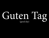# Guten Tag (good day)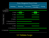

# 5.5 Validate Scope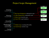# Project Scope Management direction on how scope will be managed throughout the project. The inputs, tools and techniques, and outputs of

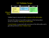

Validate Scope is concerned with acceptance of the deliverables

5.2 Increases the chance of sucessful acceptance of the final product, Collect **Runne** service or result by validating each deliverable

 $h_{corr}$ l before Validate Scope generally performed <mark>before Validate Scope</mark> Control Quality is concerned with correctness of the deliverables and is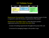

is required to satisfy the business requirements of the project Requirements Documentation: a list/executive summary/report of what

**Collection** ILV IVI:  $t \cdot h \cdot t$  Requirements Project Requirements Traceability Matrix: a chart that shows product  $\alpha$ nt  $\alpha$ n requirement and the <mark>deliverables that satisfy</mark> them

ng requirements througl 4.3 4.4 A means of tracking requirements throughout the project life cycle Monitor and

Commenced and commental property <u>range and the second second in the second second in the second second in the second second in the second second in the second in the second in the second in the second in the second in the second in the second in the seco</u> A structure for managing changes to the product scope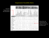# Requirements Traceability Matrix

From the Requirements documentation

|                                                                                      |             | <b>Reading</b><br>Area |                           |                | <b>Book</b><br><b>Storage</b> |                         |                                    | <b>Public</b><br><b>Meeting</b><br><b>Space</b> |                   | <b>Children's</b><br>Area |                  | <b>Audio</b>      |                                   | <b>Office</b><br><b>Space</b> |                    |             | <b>Computers</b> |                   |                             |              |                                       |             |  |
|--------------------------------------------------------------------------------------|-------------|------------------------|---------------------------|----------------|-------------------------------|-------------------------|------------------------------------|-------------------------------------------------|-------------------|---------------------------|------------------|-------------------|-----------------------------------|-------------------------------|--------------------|-------------|------------------|-------------------|-----------------------------|--------------|---------------------------------------|-------------|--|
| <b>Objectives</b>                                                                    | Magazines   | Newspapers             | -25<br>Comfortable chairs | Patron desks-2 | 150,000 books                 | 15 different categories | Signage above for easy<br>locating | Rooms                                           | Separate entrance | Drop-down screens         | Small chairs-80% | Story time locale | Room for audio books and<br>music | Shelves for audio books-15    | Racks for music-12 | $Offices-4$ | Cubes-15         | For public use-48 | For visitor service desk-12 | For staff-20 | $\mathbf{r}$<br>With audio capability | Printers    |  |
| Improve access<br>to job resources<br>by 20%.                                        |             | X                      |                           | X              |                               |                         |                                    | X                                               |                   | $\mathbf X$               |                  |                   |                                   |                               |                    |             |                  | X                 | X                           |              |                                       | $\mathbf X$ |  |
| Improve local<br>children's reading<br>levels by two<br>grade levels in<br>one year. |             |                        | X                         |                | X                             |                         | X                                  |                                                 |                   |                           |                  | X                 |                                   |                               |                    |             |                  | X                 |                             |              |                                       |             |  |
| Provide a<br>pleasant place<br>for community<br>members to<br>meet.                  | X           | X                      | X                         |                |                               |                         |                                    | X                                               | X                 |                           | X                |                   | X                                 | X                             | X                  |             |                  |                   |                             |              |                                       |             |  |
| Replace the<br>existing library<br>by end of next<br>quarter.                        | $\mathbf X$ | $\mathbf X$            | X                         |                | X                             | X                       | X                                  |                                                 |                   |                           |                  | X                 |                                   | $\mathbf X$                   |                    | X           | X                | X                 |                             | X            | X                                     | X           |  |

Shows how our requirements are being met (may not be known yet)

Rita ©2013 p 171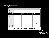# Requirements Traceability Matrix

From the status date. Additional attributes to ensure that the requirement of the requirement has met that the requirement has met that the requirement has met that the requirement has met the requirement of the requiremen Requirements **satisfaction may include stability, and acceptance criteria. Figure 5-6 provides an acceptance criteria. Figure 5-6 provides and acceptance criteria. Figure 5-6 provides and acceptance criteria. Figure 5-6 pr** 

documentation and its associated at the set associated at the set associated at the set associated at the set of  $\vert$ 

|                      |                 |                           | <b>Requirements Traceability Matrix</b>                       |                              |                                   |                   |                               |               |
|----------------------|-----------------|---------------------------|---------------------------------------------------------------|------------------------------|-----------------------------------|-------------------|-------------------------------|---------------|
| Project Name:        |                 |                           |                                                               |                              |                                   |                   |                               |               |
| Cost Center:         |                 |                           |                                                               |                              |                                   |                   |                               |               |
| Project Description: |                 |                           |                                                               |                              |                                   |                   |                               |               |
| ID                   | Associate<br>ID | Requiremer ts Description | <b>Business Needs,</b><br>Opportunities,<br>Goals, Objectives | Project<br><b>Objectives</b> | <b>WBS</b><br><b>Deliverables</b> | Product<br>Design | Product<br><b>Development</b> | Test<br>Cases |
|                      | 1.0             | $\mathbf v$               |                                                               |                              |                                   |                   |                               |               |
| 001                  | 1.1             |                           |                                                               |                              |                                   |                   |                               |               |
|                      | 1.2             |                           |                                                               |                              |                                   |                   |                               |               |
|                      | 1.2.1           |                           |                                                               |                              |                                   |                   |                               |               |
|                      | 2.0             |                           |                                                               |                              |                                   |                   |                               |               |
| 002                  | 2.1             |                           |                                                               |                              |                                   |                   |                               |               |
|                      | 2.1.1           |                           |                                                               |                              |                                   |                   |                               |               |
|                      | 3.0             |                           |                                                               |                              |                                   |                   |                               |               |
| 003                  | 3.1             |                           |                                                               |                              |                                   |                   | ∧                             |               |
|                      | 3.2             |                           |                                                               |                              |                                   |                   |                               |               |
| 004                  | 4.0             |                           |                                                               |                              |                                   |                   |                               |               |
| 005                  | 5.0             |                           |                                                               |                              |                                   |                   |                               |               |

**Figure 5-6. Example of a Requirements Traceability Matrix**

(PMBOK® Guide, p. 119)

Shows how our requirements are being met (may not be known yet)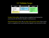

correctness by the Perform Quality Control process Verified Deliverables: that have been completed and checked for

 $-1$ r une i no ho Requirements ampleted bour much time has elansed costs in Work Performance Data: the raw data of the project's status (how much work is completed, how much time has elapsed, costs incurred to date) Plan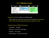

Inspection: reviews, audits and walkthroughs

Deliverables are measured, examined and validated to determine IUI if the work meet the requirements and acceptance criteria

# Group Decision-Making Techniques:

 $\overline{\phantom{a}}$  d gree  $i$ tv $\tau$ Unanimity - all agree Project Work

Majority - more then 50% agree

 $-11$ Plurality - most agree

Dictatorship - one person decides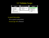

The accepted work/product amed Formal sign-off is obtained Accepted Deliverables: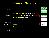### Project Scope Management direction on how scope will be managed throughout the project. The inputs, tools and techniques, and outputs of  $t_{\rm eff}$  are depicted in Figure 5-3 depicted in Figure 5-3 depicted in Figure 5-3 depicted in Figure 5-3 depicted in Figure 5-3 depicted in Figure 5-3 depicted in Figure 5-3 depicted in Figure 5-3 depicted in Figure 5-3 d



Closing Process Group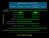

# 5.6 Control Scope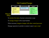

To monitor the status of project and product scope

To manage changes to the scope baseline

When necessary integrate changes with other control processes

Manage expansion to product or project scope (scope creep)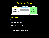

# Project Management Plan:

Scope baseline

Scope management plan

Change management plan

**Licensed To: Maureen MacDonald PMI MemberID: 2720945** Configuration management plan

Requirements management plan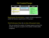

Requirements Documentation: a report of what is required to satisfy the business requirements of the project

# Work Performance Data: the raw data of the project's status

This can include the number of change requests received, the **This copy is a PMI Member benefit, not for distribution, sale, or reproduction.** number of requests accepted or the number of deliverables completed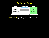

Variance Analysis: looks at the difference between the current scope and the scope baseline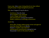Scope creep: when scope is being altered over time without using the proper change management processes

Why does it happen? It may be due to:

Interference from the client An incomplete scope statement A poor change control system Miscommunication among team members Market conditions or technology advancement

Avoid it by:

Never allow changes without proper review and approval Insist that clients talk to you directly Prepare a complete scope statement Maintain good communication among the team Keep proper checks on the project's progress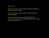Other creep:

Hope creep: when a team member is behind schedule but reports being on schedule

Effort creep: when a team member is working but not making progress

Feature creep: when team members arbitrarily add features and functions without applying the proper change management processes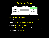| Inputs                                                                                                                                                                      | <b>Tools &amp; Techniques</b> | <b>Outputs</b>                                                                                                                                                                      |
|-----------------------------------------------------------------------------------------------------------------------------------------------------------------------------|-------------------------------|-------------------------------------------------------------------------------------------------------------------------------------------------------------------------------------|
| .1 Project management plan<br>.2 Requirements<br>documentation<br>.3 Requirements traceability<br>matrix<br>.4 Work performance data<br>.5 Organizational process<br>assets | .1 Variance analysis          | .1 Work performance<br>information<br>.2 Change requests<br>.3 Project management plan<br>updates<br>.4 Project documents<br>updates<br>.5 Organizational process<br>assets updates |

# Work Performance Information:

How is the project scope performing compared to the baseline

Identified the causes of differences and change

Include the categories of changes

**Licent Computer System** MacDonald Property Computer How has/will the scope change impact; schedule, cost, and quality

Scope performance forecasts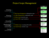# Project Scope Management direction on how scope will be managed throughout the project. The inputs, tools and techniques, and outputs of